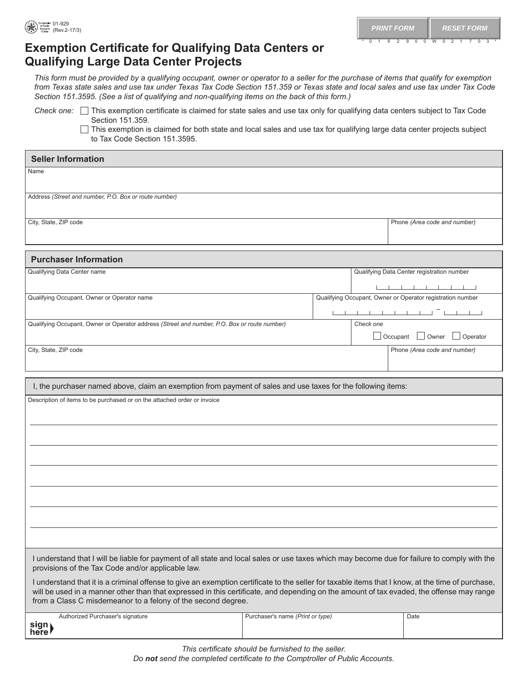## **Exemption Certificate for Qualifying Data Centers or Qualifying Large Data Center Projects**

*This form must be provided by a qualifying occupant, owner or operator to a seller for the purchase of items that qualify for exemption from Texas state sales and use tax under Texas Tax Code Section 151.359 or Texas state and local sales and use tax under Tax Code Section 151.3595. (See a list of qualifying and non-qualifying items on the back of this form.)*

*Check* one:  $\Box$  This exemption certificate is claimed for state sales and use tax only for qualifying data centers subject to Tax Code Section 151.359.

 $\Box$  This exemption is claimed for both state and local sales and use tax for qualifying large data center projects subject to Tax Code Section 151.3595.

| <b>Seller Information</b>                                                                                                                                                                                                                                                                                                                                     |                                  |           |                 |                                                                                                                       |  |
|---------------------------------------------------------------------------------------------------------------------------------------------------------------------------------------------------------------------------------------------------------------------------------------------------------------------------------------------------------------|----------------------------------|-----------|-----------------|-----------------------------------------------------------------------------------------------------------------------|--|
| Name                                                                                                                                                                                                                                                                                                                                                          |                                  |           |                 |                                                                                                                       |  |
| Address (Street and number, P.O. Box or route number)                                                                                                                                                                                                                                                                                                         |                                  |           |                 |                                                                                                                       |  |
|                                                                                                                                                                                                                                                                                                                                                               |                                  |           |                 |                                                                                                                       |  |
| City, State, ZIP code                                                                                                                                                                                                                                                                                                                                         |                                  |           |                 | Phone (Area code and number)                                                                                          |  |
|                                                                                                                                                                                                                                                                                                                                                               |                                  |           |                 |                                                                                                                       |  |
| <b>Purchaser Information</b>                                                                                                                                                                                                                                                                                                                                  |                                  |           |                 |                                                                                                                       |  |
| Qualifying Data Center name                                                                                                                                                                                                                                                                                                                                   |                                  |           |                 | Qualifying Data Center registration number                                                                            |  |
|                                                                                                                                                                                                                                                                                                                                                               |                                  |           |                 | <u> 1964 - Johann Barnett, fizik eta ingilar eta ingilar eta ingilar eta ingilar eta ingilar eta ingilar eta ingi</u> |  |
| Qualifying Occupant, Owner or Operator name                                                                                                                                                                                                                                                                                                                   |                                  |           |                 | Qualifying Occupant, Owner or Operator registration number                                                            |  |
|                                                                                                                                                                                                                                                                                                                                                               |                                  |           |                 | . <del>.</del>                                                                                                        |  |
| Qualifying Occupant, Owner or Operator address (Street and number, P.O. Box or route number)                                                                                                                                                                                                                                                                  |                                  | Check one |                 |                                                                                                                       |  |
|                                                                                                                                                                                                                                                                                                                                                               |                                  |           | $\Box$ Occupant | Owner<br>Operator                                                                                                     |  |
| City, State, ZIP code                                                                                                                                                                                                                                                                                                                                         |                                  |           |                 | Phone (Area code and number)                                                                                          |  |
|                                                                                                                                                                                                                                                                                                                                                               |                                  |           |                 |                                                                                                                       |  |
|                                                                                                                                                                                                                                                                                                                                                               |                                  |           |                 |                                                                                                                       |  |
| I, the purchaser named above, claim an exemption from payment of sales and use taxes for the following items:                                                                                                                                                                                                                                                 |                                  |           |                 |                                                                                                                       |  |
| Description of items to be purchased or on the attached order or invoice                                                                                                                                                                                                                                                                                      |                                  |           |                 |                                                                                                                       |  |
|                                                                                                                                                                                                                                                                                                                                                               |                                  |           |                 |                                                                                                                       |  |
|                                                                                                                                                                                                                                                                                                                                                               |                                  |           |                 |                                                                                                                       |  |
|                                                                                                                                                                                                                                                                                                                                                               |                                  |           |                 |                                                                                                                       |  |
|                                                                                                                                                                                                                                                                                                                                                               |                                  |           |                 |                                                                                                                       |  |
|                                                                                                                                                                                                                                                                                                                                                               |                                  |           |                 |                                                                                                                       |  |
|                                                                                                                                                                                                                                                                                                                                                               |                                  |           |                 |                                                                                                                       |  |
|                                                                                                                                                                                                                                                                                                                                                               |                                  |           |                 |                                                                                                                       |  |
|                                                                                                                                                                                                                                                                                                                                                               |                                  |           |                 |                                                                                                                       |  |
|                                                                                                                                                                                                                                                                                                                                                               |                                  |           |                 |                                                                                                                       |  |
|                                                                                                                                                                                                                                                                                                                                                               |                                  |           |                 |                                                                                                                       |  |
| I understand that I will be liable for payment of all state and local sales or use taxes which may become due for failure to comply with the<br>provisions of the Tax Code and/or applicable law.                                                                                                                                                             |                                  |           |                 |                                                                                                                       |  |
| I understand that it is a criminal offense to give an exemption certificate to the seller for taxable items that I know, at the time of purchase,<br>will be used in a manner other than that expressed in this certificate, and depending on the amount of tax evaded, the offense may range<br>from a Class C misdemeanor to a felony of the second degree. |                                  |           |                 |                                                                                                                       |  |
| Authorized Purchaser's signature                                                                                                                                                                                                                                                                                                                              | Purchaser's name (Print or type) |           |                 | Date                                                                                                                  |  |
| sign)                                                                                                                                                                                                                                                                                                                                                         |                                  |           |                 |                                                                                                                       |  |

*This certificate should be furnished to the seller.* 

*Do not send the completed certificate to the Comptroller of Public Accounts.*